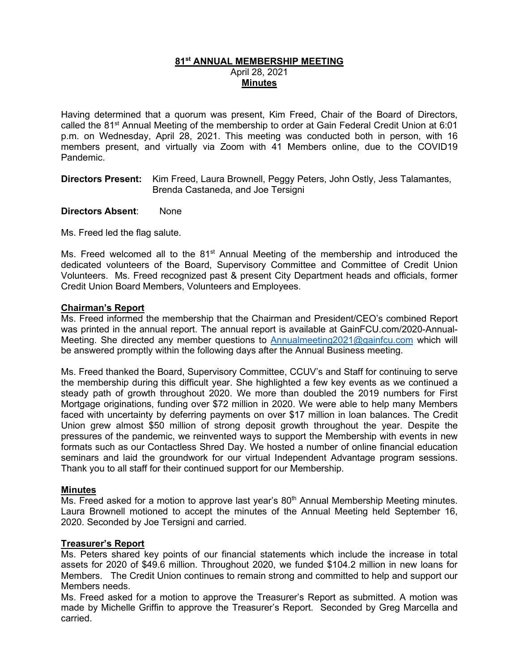# **81st ANNUAL MEMBERSHIP MEETING** April 28, 2021 **Minutes**

Having determined that a quorum was present, Kim Freed, Chair of the Board of Directors, called the 81<sup>st</sup> Annual Meeting of the membership to order at Gain Federal Credit Union at 6:01 p.m. on Wednesday, April 28, 2021. This meeting was conducted both in person, with 16 members present, and virtually via Zoom with 41 Members online, due to the COVID19 Pandemic.

**Directors Present:** Kim Freed, Laura Brownell, Peggy Peters, John Ostly, Jess Talamantes, Brenda Castaneda, and Joe Tersigni

**Directors Absent**: None

Ms. Freed led the flag salute.

Ms. Freed welcomed all to the  $81<sup>st</sup>$  Annual Meeting of the membership and introduced the dedicated volunteers of the Board, Supervisory Committee and Committee of Credit Union Volunteers. Ms. Freed recognized past & present City Department heads and officials, former Credit Union Board Members, Volunteers and Employees.

## **Chairman's Report**

Ms. Freed informed the membership that the Chairman and President/CEO's combined Report was printed in the annual report. The annual report is available at GainFCU.com/2020-Annual-Meeting. She directed any member questions to [Annualmeeting2021@gainfcu.com](mailto:Annualmeeting2021@gainfcu.com) which will be answered promptly within the following days after the Annual Business meeting.

Ms. Freed thanked the Board, Supervisory Committee, CCUV's and Staff for continuing to serve the membership during this difficult year. She highlighted a few key events as we continued a steady path of growth throughout 2020. We more than doubled the 2019 numbers for First Mortgage originations, funding over \$72 million in 2020. We were able to help many Members faced with uncertainty by deferring payments on over \$17 million in loan balances. The Credit Union grew almost \$50 million of strong deposit growth throughout the year. Despite the pressures of the pandemic, we reinvented ways to support the Membership with events in new formats such as our Contactless Shred Day. We hosted a number of online financial education seminars and laid the groundwork for our virtual Independent Advantage program sessions. Thank you to all staff for their continued support for our Membership.

## **Minutes**

Ms. Freed asked for a motion to approve last year's  $80<sup>th</sup>$  Annual Membership Meeting minutes. Laura Brownell motioned to accept the minutes of the Annual Meeting held September 16, 2020. Seconded by Joe Tersigni and carried.

## **Treasurer's Report**

Ms. Peters shared key points of our financial statements which include the increase in total assets for 2020 of \$49.6 million. Throughout 2020, we funded \$104.2 million in new loans for Members. The Credit Union continues to remain strong and committed to help and support our Members needs.

Ms. Freed asked for a motion to approve the Treasurer's Report as submitted. A motion was made by Michelle Griffin to approve the Treasurer's Report. Seconded by Greg Marcella and carried.